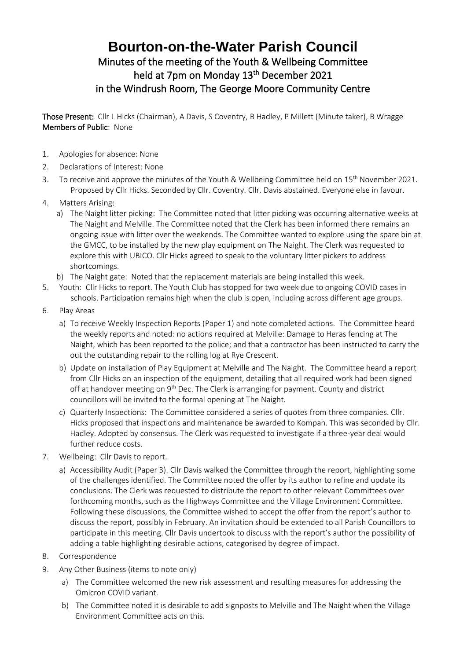## **Bourton-on-the-Water Parish Council** Minutes of the meeting of the Youth & Wellbeing Committee held at 7pm on Monday 13<sup>th</sup> December 2021 in the Windrush Room, The George Moore Community Centre

Those Present: Cllr L Hicks (Chairman), A Davis, S Coventry, B Hadley, P Millett (Minute taker), B Wragge Members of Public: None

- 1. Apologies for absence: None
- 2. Declarations of Interest: None
- 3. To receive and approve the minutes of the Youth & Wellbeing Committee held on 15<sup>th</sup> November 2021. Proposed by Cllr Hicks. Seconded by Cllr. Coventry. Cllr. Davis abstained. Everyone else in favour.
- 4. Matters Arising:
	- a) The Naight litter picking: The Committee noted that litter picking was occurring alternative weeks at The Naight and Melville. The Committee noted that the Clerk has been informed there remains an ongoing issue with litter over the weekends. The Committee wanted to explore using the spare bin at the GMCC, to be installed by the new play equipment on The Naight. The Clerk was requested to explore this with UBICO. Cllr Hicks agreed to speak to the voluntary litter pickers to address shortcomings.
	- b) The Naight gate: Noted that the replacement materials are being installed this week.
- 5. Youth: Cllr Hicks to report. The Youth Club has stopped for two week due to ongoing COVID cases in schools. Participation remains high when the club is open, including across different age groups.
- 6. Play Areas
	- a) To receive Weekly Inspection Reports (Paper 1) and note completed actions. The Committee heard the weekly reports and noted: no actions required at Melville: Damage to Heras fencing at The Naight, which has been reported to the police; and that a contractor has been instructed to carry the out the outstanding repair to the rolling log at Rye Crescent.
	- b) Update on installation of Play Equipment at Melville and The Naight. The Committee heard a report from Cllr Hicks on an inspection of the equipment, detailing that all required work had been signed off at handover meeting on  $9<sup>th</sup>$  Dec. The Clerk is arranging for payment. County and district councillors will be invited to the formal opening at The Naight.
	- c) Quarterly Inspections: The Committee considered a series of quotes from three companies. Cllr. Hicks proposed that inspections and maintenance be awarded to Kompan. This was seconded by Cllr. Hadley. Adopted by consensus. The Clerk was requested to investigate if a three-year deal would further reduce costs.
- 7. Wellbeing: Cllr Davis to report.
	- a) Accessibility Audit (Paper 3). Cllr Davis walked the Committee through the report, highlighting some of the challenges identified. The Committee noted the offer by its author to refine and update its conclusions. The Clerk was requested to distribute the report to other relevant Committees over forthcoming months, such as the Highways Committee and the Village Environment Committee. Following these discussions, the Committee wished to accept the offer from the report's author to discuss the report, possibly in February. An invitation should be extended to all Parish Councillors to participate in this meeting. Cllr Davis undertook to discuss with the report's author the possibility of adding a table highlighting desirable actions, categorised by degree of impact.
- 8. Correspondence
- 9. Any Other Business (items to note only)
	- a) The Committee welcomed the new risk assessment and resulting measures for addressing the Omicron COVID variant.
	- b) The Committee noted it is desirable to add signposts to Melville and The Naight when the Village Environment Committee acts on this.